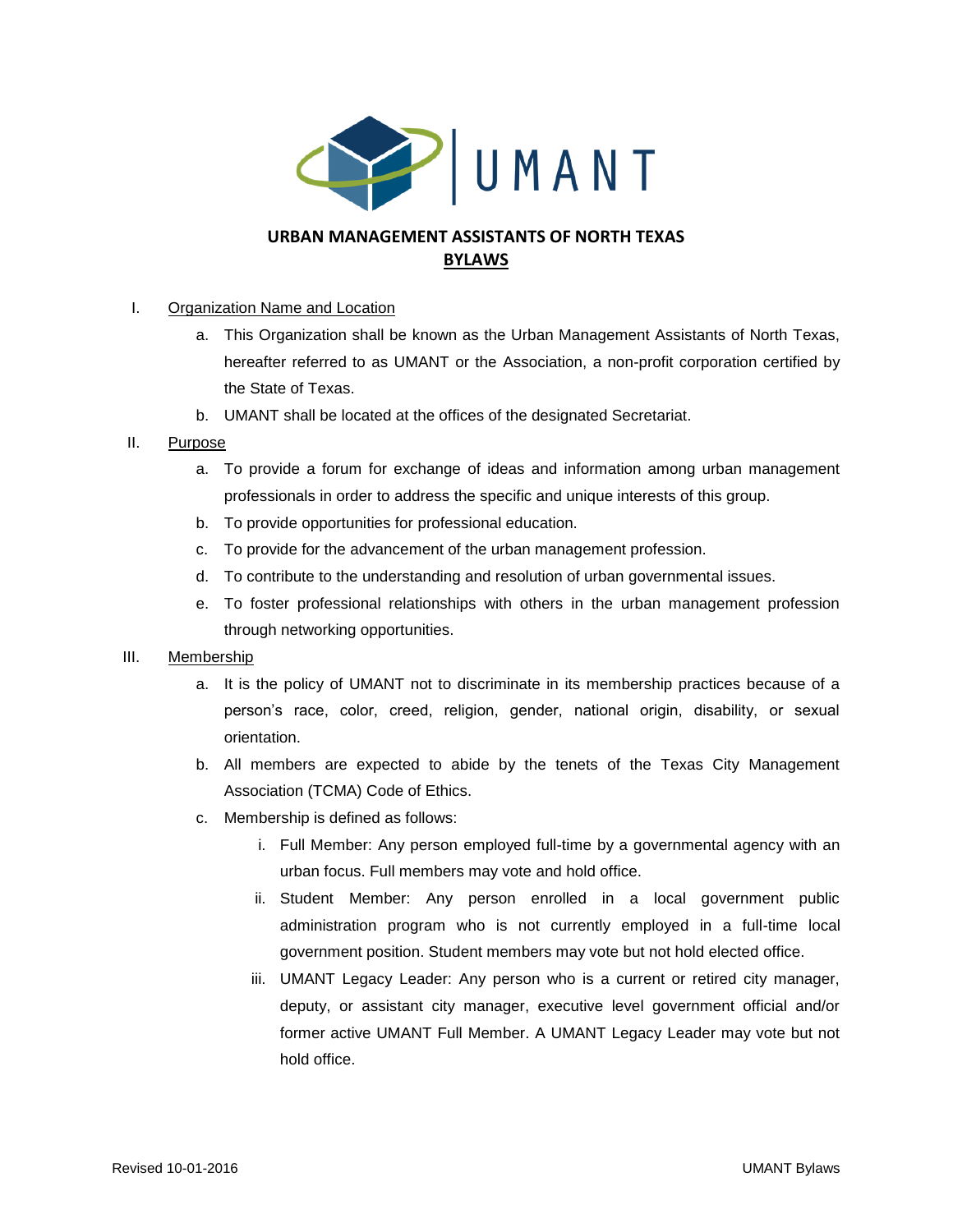

# **URBAN MANAGEMENT ASSISTANTS OF NORTH TEXAS BYLAWS**

## I. Organization Name and Location

- a. This Organization shall be known as the Urban Management Assistants of North Texas, hereafter referred to as UMANT or the Association, a non-profit corporation certified by the State of Texas.
- b. UMANT shall be located at the offices of the designated Secretariat.

## II. Purpose

- a. To provide a forum for exchange of ideas and information among urban management professionals in order to address the specific and unique interests of this group.
- b. To provide opportunities for professional education.
- c. To provide for the advancement of the urban management profession.
- d. To contribute to the understanding and resolution of urban governmental issues.
- e. To foster professional relationships with others in the urban management profession through networking opportunities.

## III. Membership

- a. It is the policy of UMANT not to discriminate in its membership practices because of a person's race, color, creed, religion, gender, national origin, disability, or sexual orientation.
- b. All members are expected to abide by the tenets of the Texas City Management Association (TCMA) Code of Ethics.
- c. Membership is defined as follows:
	- i. Full Member: Any person employed full-time by a governmental agency with an urban focus. Full members may vote and hold office.
	- ii. Student Member: Any person enrolled in a local government public administration program who is not currently employed in a full-time local government position. Student members may vote but not hold elected office.
	- iii. UMANT Legacy Leader: Any person who is a current or retired city manager, deputy, or assistant city manager, executive level government official and/or former active UMANT Full Member. A UMANT Legacy Leader may vote but not hold office.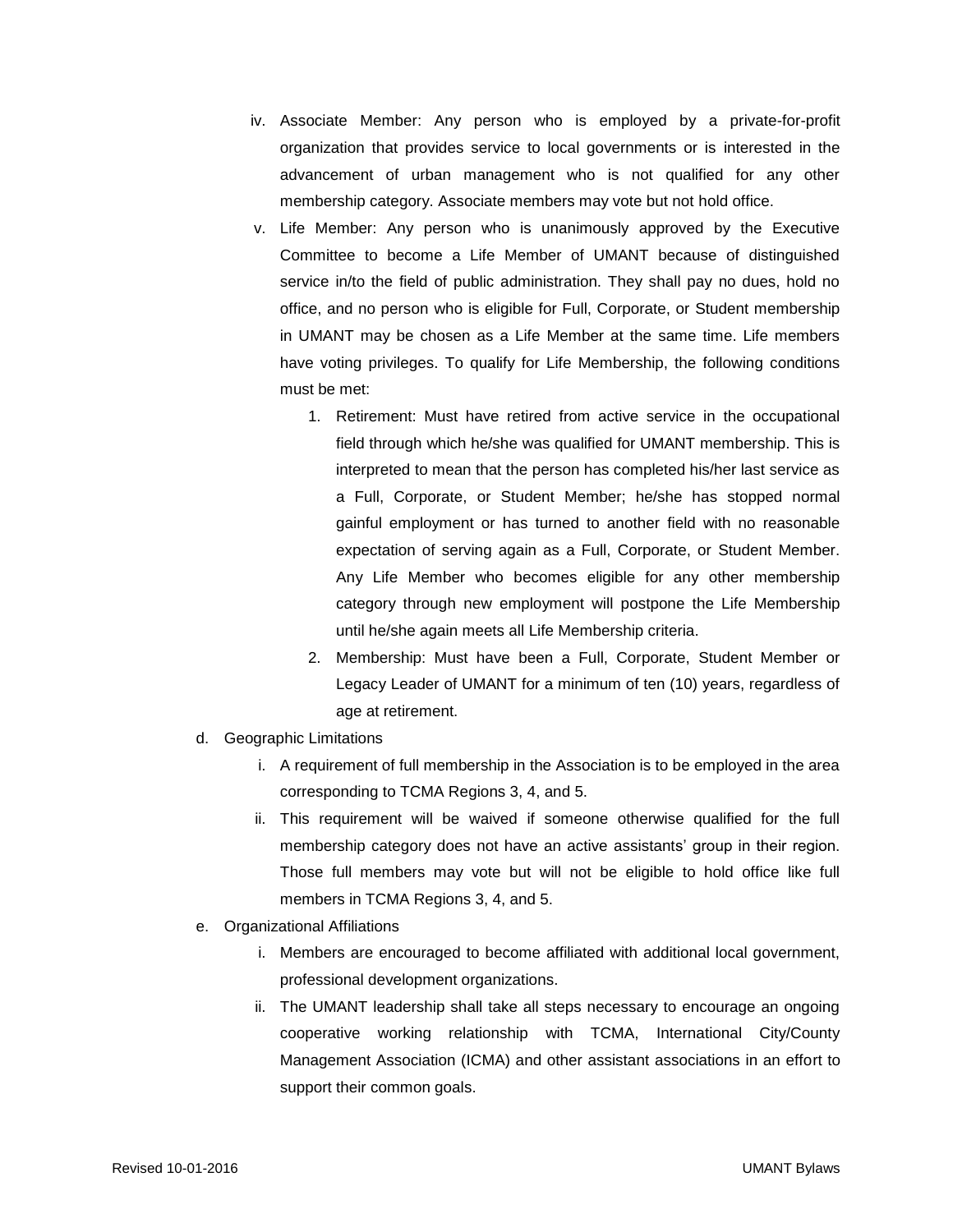- iv. Associate Member: Any person who is employed by a private-for-profit organization that provides service to local governments or is interested in the advancement of urban management who is not qualified for any other membership category. Associate members may vote but not hold office.
- v. Life Member: Any person who is unanimously approved by the Executive Committee to become a Life Member of UMANT because of distinguished service in/to the field of public administration. They shall pay no dues, hold no office, and no person who is eligible for Full, Corporate, or Student membership in UMANT may be chosen as a Life Member at the same time. Life members have voting privileges. To qualify for Life Membership, the following conditions must be met:
	- 1. Retirement: Must have retired from active service in the occupational field through which he/she was qualified for UMANT membership. This is interpreted to mean that the person has completed his/her last service as a Full, Corporate, or Student Member; he/she has stopped normal gainful employment or has turned to another field with no reasonable expectation of serving again as a Full, Corporate, or Student Member. Any Life Member who becomes eligible for any other membership category through new employment will postpone the Life Membership until he/she again meets all Life Membership criteria.
	- 2. Membership: Must have been a Full, Corporate, Student Member or Legacy Leader of UMANT for a minimum of ten (10) years, regardless of age at retirement.
- d. Geographic Limitations
	- i. A requirement of full membership in the Association is to be employed in the area corresponding to TCMA Regions 3, 4, and 5.
	- ii. This requirement will be waived if someone otherwise qualified for the full membership category does not have an active assistants' group in their region. Those full members may vote but will not be eligible to hold office like full members in TCMA Regions 3, 4, and 5.
- e. Organizational Affiliations
	- i. Members are encouraged to become affiliated with additional local government, professional development organizations.
	- ii. The UMANT leadership shall take all steps necessary to encourage an ongoing cooperative working relationship with TCMA, International City/County Management Association (ICMA) and other assistant associations in an effort to support their common goals.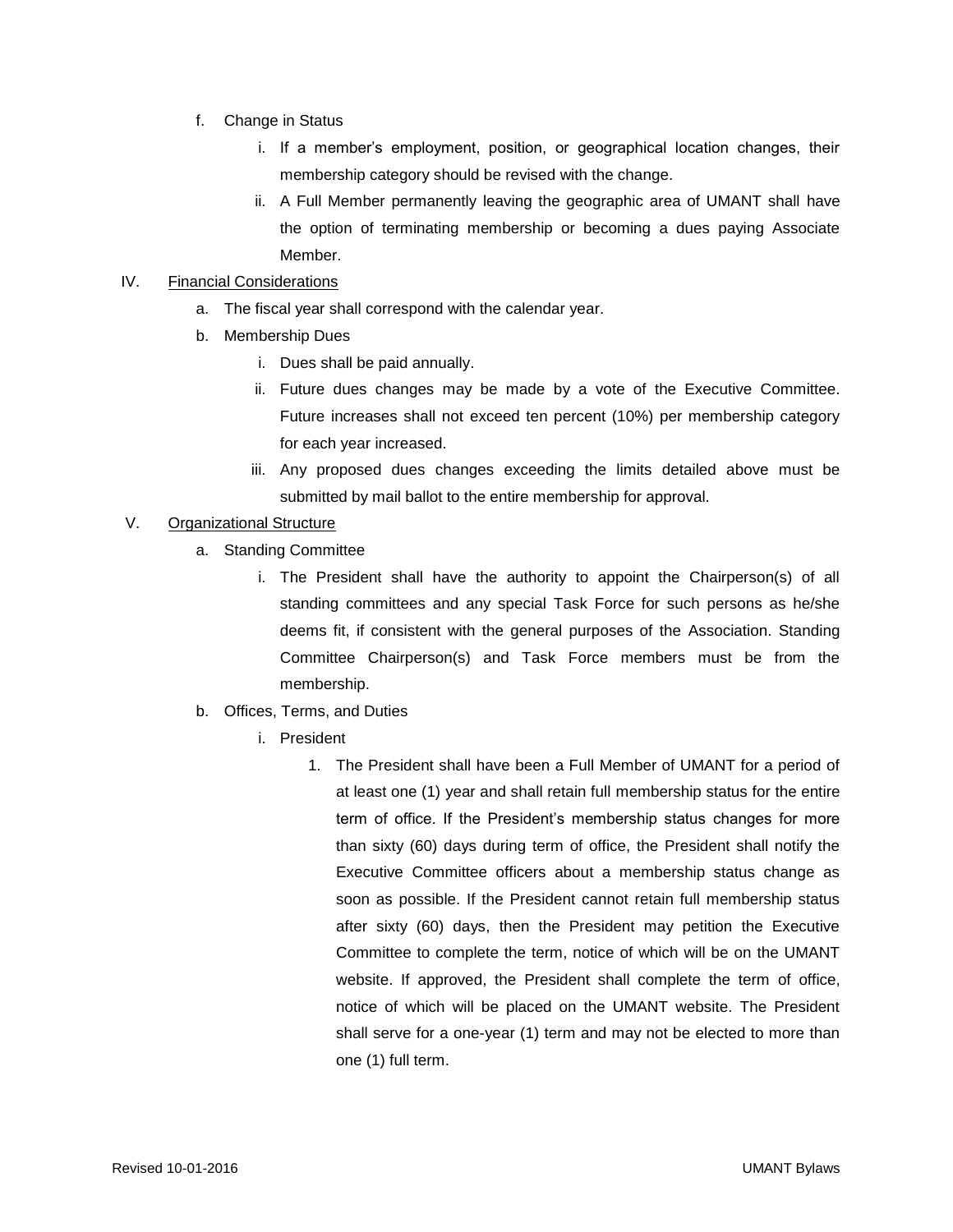- f. Change in Status
	- i. If a member's employment, position, or geographical location changes, their membership category should be revised with the change.
	- ii. A Full Member permanently leaving the geographic area of UMANT shall have the option of terminating membership or becoming a dues paying Associate Member.

## IV. Financial Considerations

- a. The fiscal year shall correspond with the calendar year.
- b. Membership Dues
	- i. Dues shall be paid annually.
	- ii. Future dues changes may be made by a vote of the Executive Committee. Future increases shall not exceed ten percent (10%) per membership category for each year increased.
	- iii. Any proposed dues changes exceeding the limits detailed above must be submitted by mail ballot to the entire membership for approval.

## V. Organizational Structure

- a. Standing Committee
	- i. The President shall have the authority to appoint the Chairperson(s) of all standing committees and any special Task Force for such persons as he/she deems fit, if consistent with the general purposes of the Association. Standing Committee Chairperson(s) and Task Force members must be from the membership.
- b. Offices, Terms, and Duties
	- i. President
		- 1. The President shall have been a Full Member of UMANT for a period of at least one (1) year and shall retain full membership status for the entire term of office. If the President's membership status changes for more than sixty (60) days during term of office, the President shall notify the Executive Committee officers about a membership status change as soon as possible. If the President cannot retain full membership status after sixty (60) days, then the President may petition the Executive Committee to complete the term, notice of which will be on the UMANT website. If approved, the President shall complete the term of office, notice of which will be placed on the UMANT website. The President shall serve for a one-year (1) term and may not be elected to more than one (1) full term.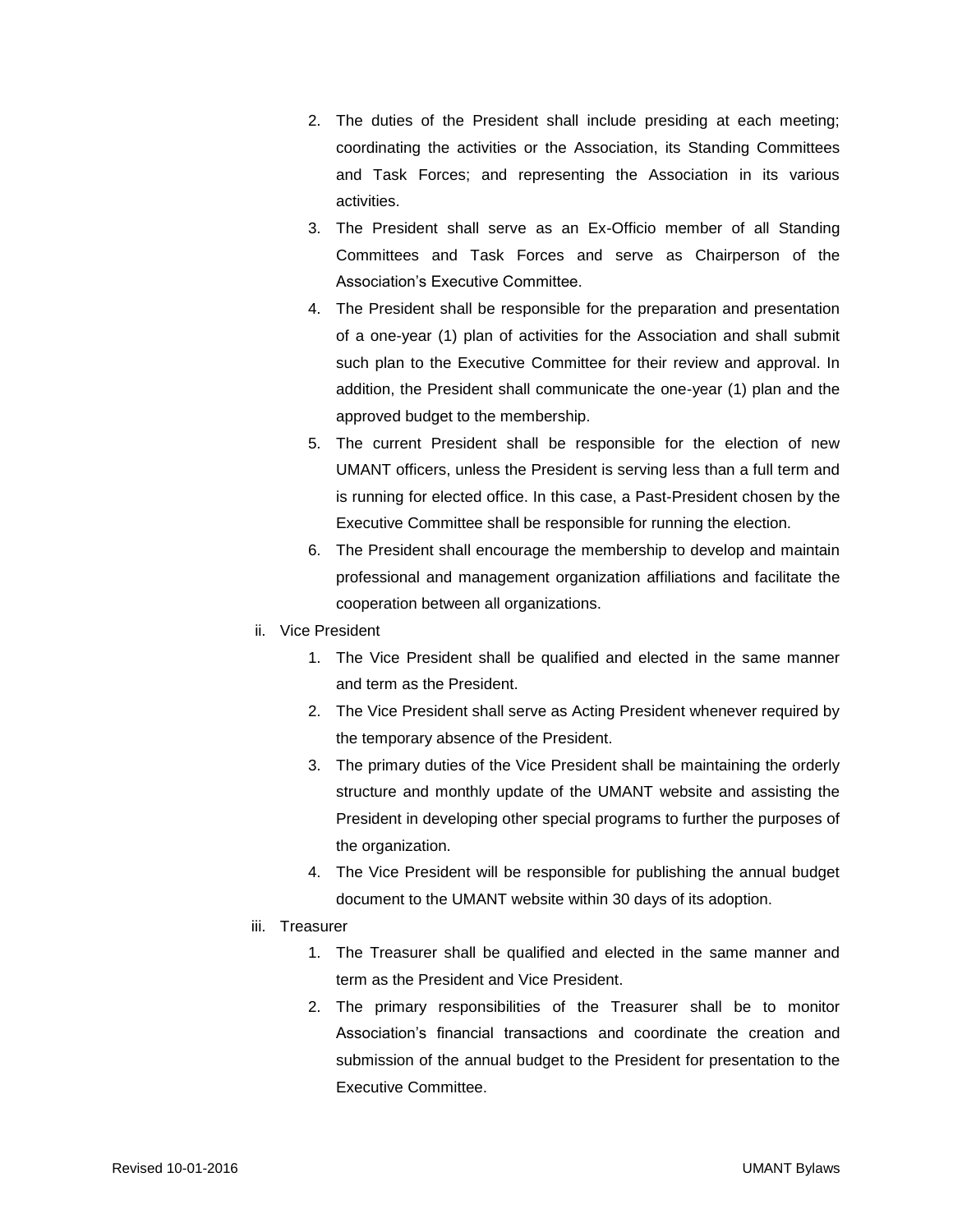- 2. The duties of the President shall include presiding at each meeting; coordinating the activities or the Association, its Standing Committees and Task Forces; and representing the Association in its various activities.
- 3. The President shall serve as an Ex-Officio member of all Standing Committees and Task Forces and serve as Chairperson of the Association's Executive Committee.
- 4. The President shall be responsible for the preparation and presentation of a one-year (1) plan of activities for the Association and shall submit such plan to the Executive Committee for their review and approval. In addition, the President shall communicate the one-year (1) plan and the approved budget to the membership.
- 5. The current President shall be responsible for the election of new UMANT officers, unless the President is serving less than a full term and is running for elected office. In this case, a Past-President chosen by the Executive Committee shall be responsible for running the election.
- 6. The President shall encourage the membership to develop and maintain professional and management organization affiliations and facilitate the cooperation between all organizations.
- ii. Vice President
	- 1. The Vice President shall be qualified and elected in the same manner and term as the President.
	- 2. The Vice President shall serve as Acting President whenever required by the temporary absence of the President.
	- 3. The primary duties of the Vice President shall be maintaining the orderly structure and monthly update of the UMANT website and assisting the President in developing other special programs to further the purposes of the organization.
	- 4. The Vice President will be responsible for publishing the annual budget document to the UMANT website within 30 days of its adoption.
- iii. Treasurer
	- 1. The Treasurer shall be qualified and elected in the same manner and term as the President and Vice President.
	- 2. The primary responsibilities of the Treasurer shall be to monitor Association's financial transactions and coordinate the creation and submission of the annual budget to the President for presentation to the Executive Committee.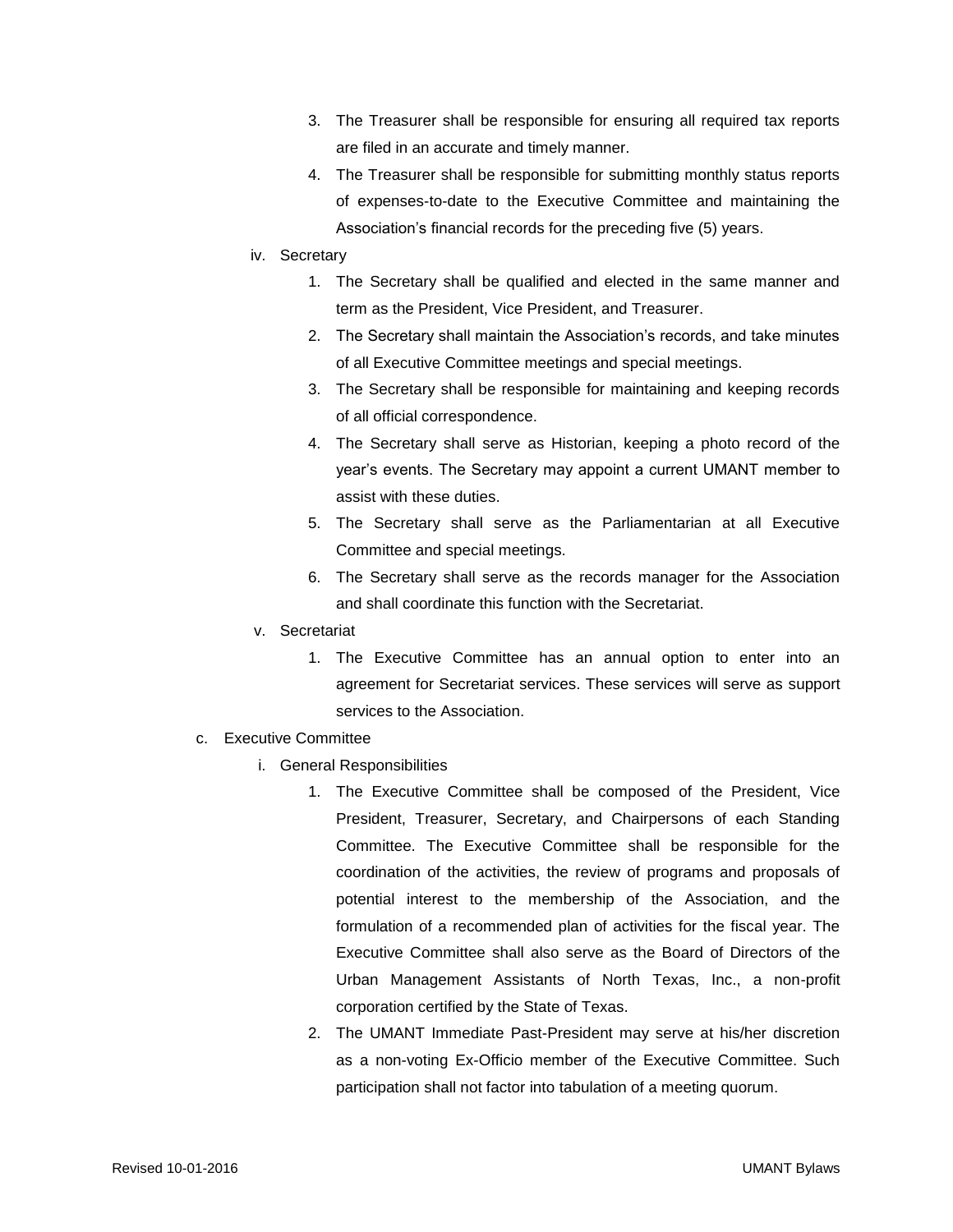- 3. The Treasurer shall be responsible for ensuring all required tax reports are filed in an accurate and timely manner.
- 4. The Treasurer shall be responsible for submitting monthly status reports of expenses-to-date to the Executive Committee and maintaining the Association's financial records for the preceding five (5) years.
- iv. Secretary
	- 1. The Secretary shall be qualified and elected in the same manner and term as the President, Vice President, and Treasurer.
	- 2. The Secretary shall maintain the Association's records, and take minutes of all Executive Committee meetings and special meetings.
	- 3. The Secretary shall be responsible for maintaining and keeping records of all official correspondence.
	- 4. The Secretary shall serve as Historian, keeping a photo record of the year's events. The Secretary may appoint a current UMANT member to assist with these duties.
	- 5. The Secretary shall serve as the Parliamentarian at all Executive Committee and special meetings.
	- 6. The Secretary shall serve as the records manager for the Association and shall coordinate this function with the Secretariat.
- v. Secretariat
	- 1. The Executive Committee has an annual option to enter into an agreement for Secretariat services. These services will serve as support services to the Association.
- c. Executive Committee
	- i. General Responsibilities
		- 1. The Executive Committee shall be composed of the President, Vice President, Treasurer, Secretary, and Chairpersons of each Standing Committee. The Executive Committee shall be responsible for the coordination of the activities, the review of programs and proposals of potential interest to the membership of the Association, and the formulation of a recommended plan of activities for the fiscal year. The Executive Committee shall also serve as the Board of Directors of the Urban Management Assistants of North Texas, Inc., a non-profit corporation certified by the State of Texas.
		- 2. The UMANT Immediate Past-President may serve at his/her discretion as a non-voting Ex-Officio member of the Executive Committee. Such participation shall not factor into tabulation of a meeting quorum.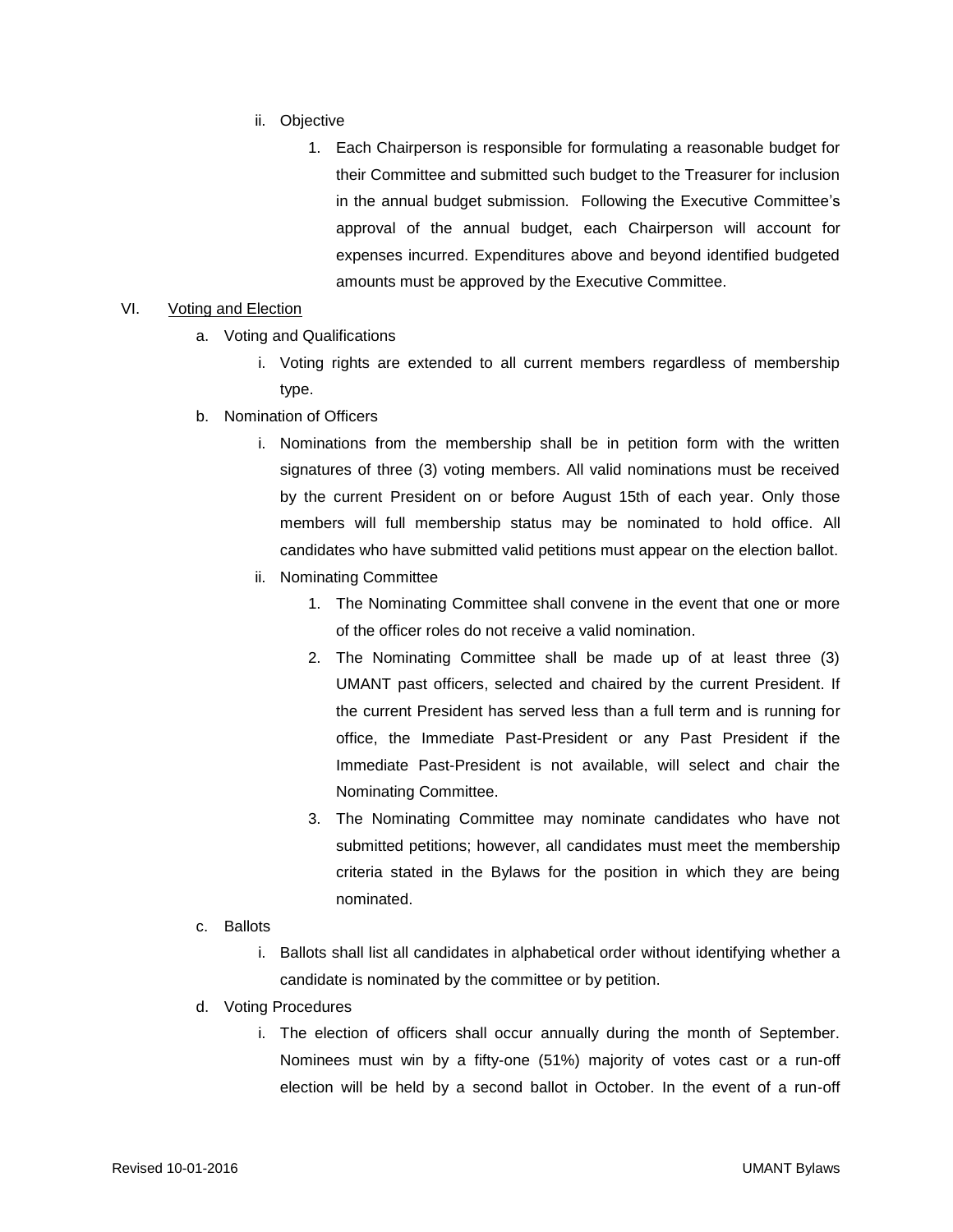- ii. Objective
	- 1. Each Chairperson is responsible for formulating a reasonable budget for their Committee and submitted such budget to the Treasurer for inclusion in the annual budget submission. Following the Executive Committee's approval of the annual budget, each Chairperson will account for expenses incurred. Expenditures above and beyond identified budgeted amounts must be approved by the Executive Committee.

#### VI. Voting and Election

- a. Voting and Qualifications
	- i. Voting rights are extended to all current members regardless of membership type.
- b. Nomination of Officers
	- i. Nominations from the membership shall be in petition form with the written signatures of three (3) voting members. All valid nominations must be received by the current President on or before August 15th of each year. Only those members will full membership status may be nominated to hold office. All candidates who have submitted valid petitions must appear on the election ballot.
	- ii. Nominating Committee
		- 1. The Nominating Committee shall convene in the event that one or more of the officer roles do not receive a valid nomination.
		- 2. The Nominating Committee shall be made up of at least three (3) UMANT past officers, selected and chaired by the current President. If the current President has served less than a full term and is running for office, the Immediate Past-President or any Past President if the Immediate Past-President is not available, will select and chair the Nominating Committee.
		- 3. The Nominating Committee may nominate candidates who have not submitted petitions; however, all candidates must meet the membership criteria stated in the Bylaws for the position in which they are being nominated.
- c. Ballots
	- i. Ballots shall list all candidates in alphabetical order without identifying whether a candidate is nominated by the committee or by petition.
- d. Voting Procedures
	- i. The election of officers shall occur annually during the month of September. Nominees must win by a fifty-one (51%) majority of votes cast or a run-off election will be held by a second ballot in October. In the event of a run-off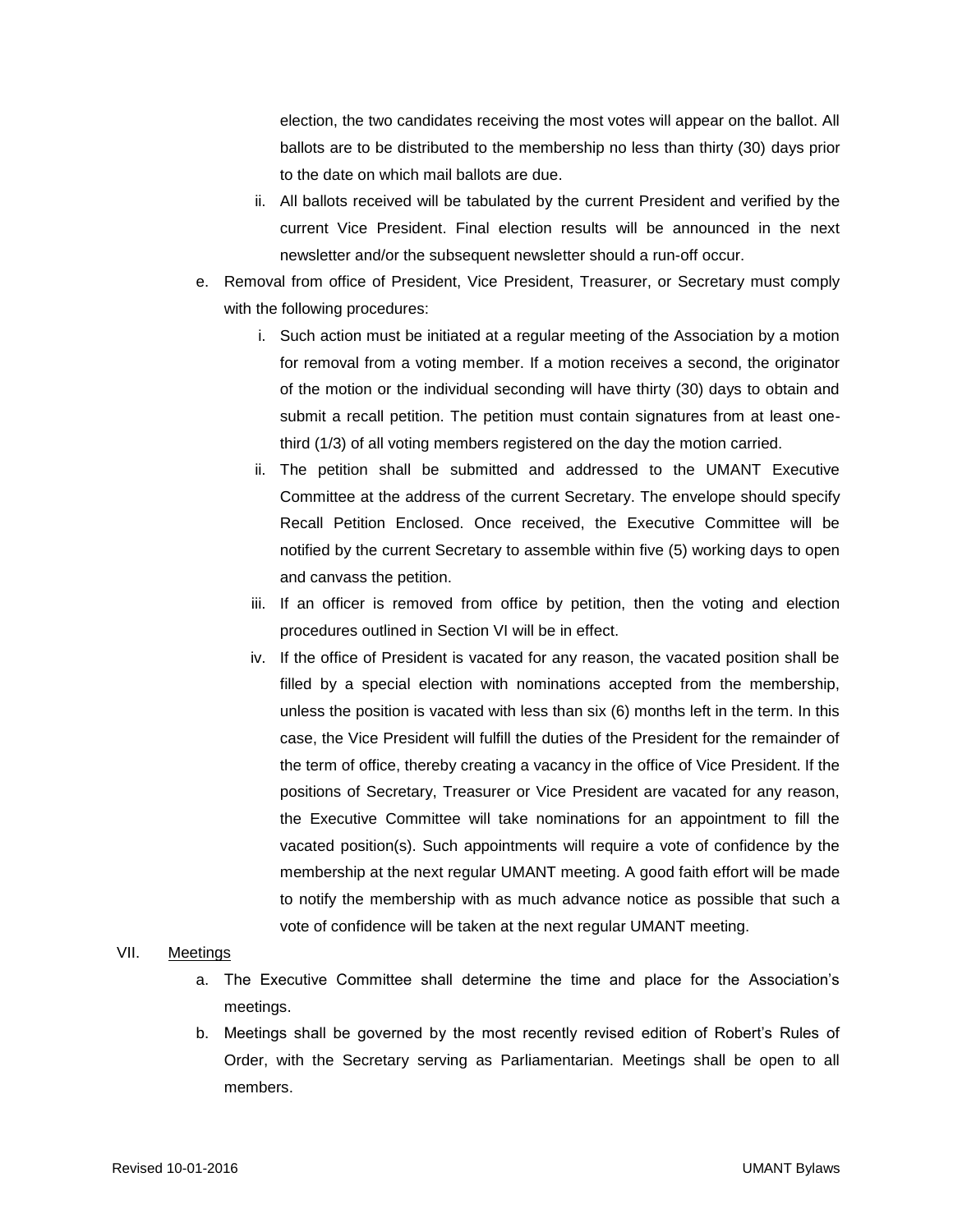election, the two candidates receiving the most votes will appear on the ballot. All ballots are to be distributed to the membership no less than thirty (30) days prior to the date on which mail ballots are due.

- ii. All ballots received will be tabulated by the current President and verified by the current Vice President. Final election results will be announced in the next newsletter and/or the subsequent newsletter should a run-off occur.
- e. Removal from office of President, Vice President, Treasurer, or Secretary must comply with the following procedures:
	- i. Such action must be initiated at a regular meeting of the Association by a motion for removal from a voting member. If a motion receives a second, the originator of the motion or the individual seconding will have thirty (30) days to obtain and submit a recall petition. The petition must contain signatures from at least onethird (1/3) of all voting members registered on the day the motion carried.
	- ii. The petition shall be submitted and addressed to the UMANT Executive Committee at the address of the current Secretary. The envelope should specify Recall Petition Enclosed. Once received, the Executive Committee will be notified by the current Secretary to assemble within five (5) working days to open and canvass the petition.
	- iii. If an officer is removed from office by petition, then the voting and election procedures outlined in Section VI will be in effect.
	- iv. If the office of President is vacated for any reason, the vacated position shall be filled by a special election with nominations accepted from the membership, unless the position is vacated with less than six (6) months left in the term. In this case, the Vice President will fulfill the duties of the President for the remainder of the term of office, thereby creating a vacancy in the office of Vice President. If the positions of Secretary, Treasurer or Vice President are vacated for any reason, the Executive Committee will take nominations for an appointment to fill the vacated position(s). Such appointments will require a vote of confidence by the membership at the next regular UMANT meeting. A good faith effort will be made to notify the membership with as much advance notice as possible that such a vote of confidence will be taken at the next regular UMANT meeting.

#### VII. Meetings

- a. The Executive Committee shall determine the time and place for the Association's meetings.
- b. Meetings shall be governed by the most recently revised edition of Robert's Rules of Order, with the Secretary serving as Parliamentarian. Meetings shall be open to all members.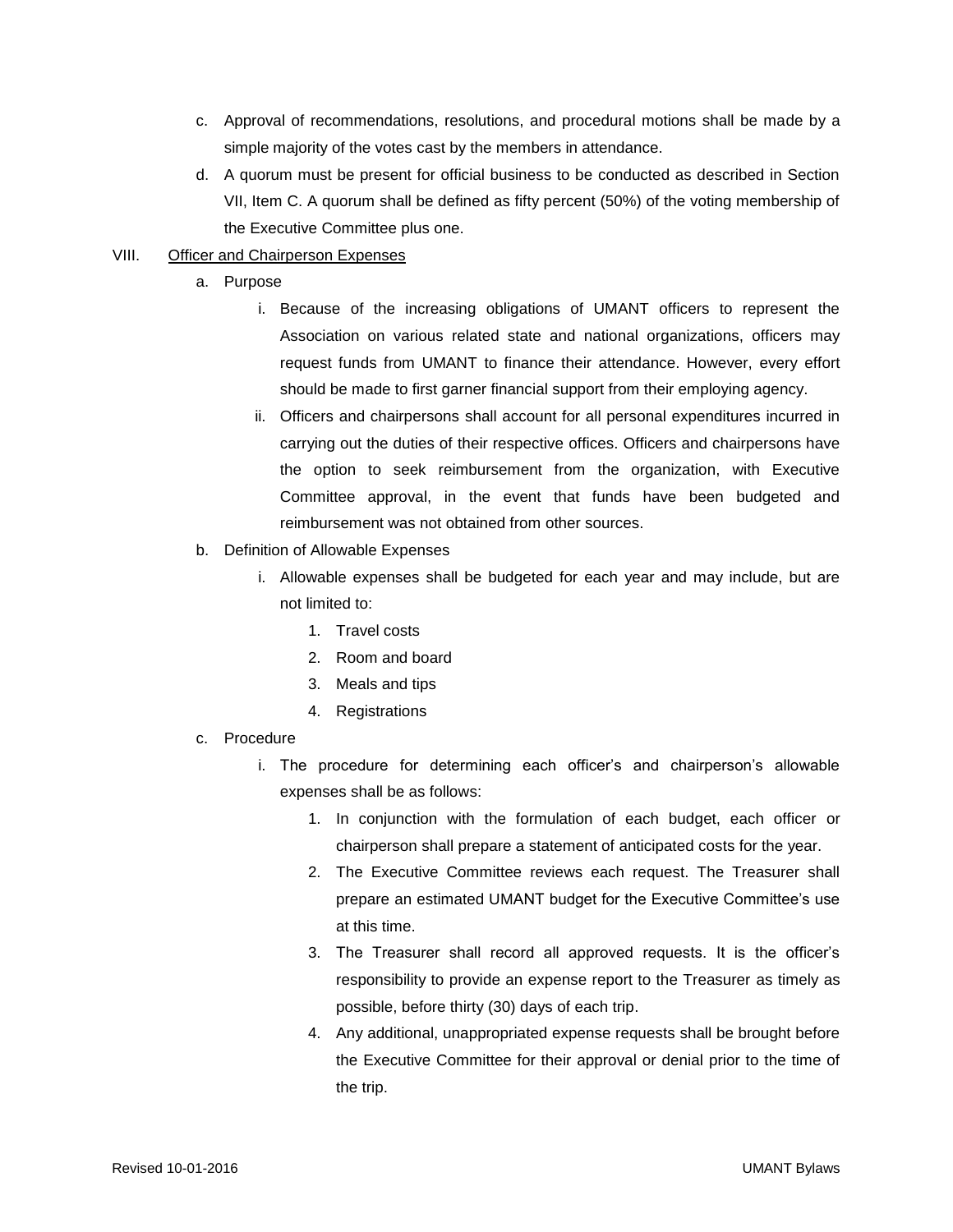- c. Approval of recommendations, resolutions, and procedural motions shall be made by a simple majority of the votes cast by the members in attendance.
- d. A quorum must be present for official business to be conducted as described in Section VII, Item C. A quorum shall be defined as fifty percent (50%) of the voting membership of the Executive Committee plus one.

# VIII. Officer and Chairperson Expenses

- a. Purpose
	- i. Because of the increasing obligations of UMANT officers to represent the Association on various related state and national organizations, officers may request funds from UMANT to finance their attendance. However, every effort should be made to first garner financial support from their employing agency.
	- ii. Officers and chairpersons shall account for all personal expenditures incurred in carrying out the duties of their respective offices. Officers and chairpersons have the option to seek reimbursement from the organization, with Executive Committee approval, in the event that funds have been budgeted and reimbursement was not obtained from other sources.
- b. Definition of Allowable Expenses
	- i. Allowable expenses shall be budgeted for each year and may include, but are not limited to:
		- 1. Travel costs
		- 2. Room and board
		- 3. Meals and tips
		- 4. Registrations
- c. Procedure
	- i. The procedure for determining each officer's and chairperson's allowable expenses shall be as follows:
		- 1. In conjunction with the formulation of each budget, each officer or chairperson shall prepare a statement of anticipated costs for the year.
		- 2. The Executive Committee reviews each request. The Treasurer shall prepare an estimated UMANT budget for the Executive Committee's use at this time.
		- 3. The Treasurer shall record all approved requests. It is the officer's responsibility to provide an expense report to the Treasurer as timely as possible, before thirty (30) days of each trip.
		- 4. Any additional, unappropriated expense requests shall be brought before the Executive Committee for their approval or denial prior to the time of the trip.